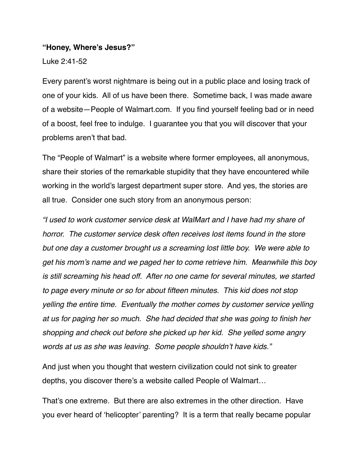#### **"Honey, Where's Jesus?"**

Luke 2:41-52

Every parent's worst nightmare is being out in a public place and losing track of one of your kids. All of us have been there. Sometime back, I was made aware of a website—People of Walmart.com. If you find yourself feeling bad or in need of a boost, feel free to indulge. I guarantee you that you will discover that your problems aren't that bad.

The "People of Walmart" is a website where former employees, all anonymous, share their stories of the remarkable stupidity that they have encountered while working in the world's largest department super store. And yes, the stories are all true. Consider one such story from an anonymous person:

*"I used to work customer service desk at WalMart and I have had my share of horror. The customer service desk often receives lost items found in the store but one day a customer brought us a screaming lost little boy. We were able to get his mom's name and we paged her to come retrieve him. Meanwhile this boy is still screaming his head off. After no one came for several minutes, we started to page every minute or so for about fifteen minutes. This kid does not stop yelling the entire time. Eventually the mother comes by customer service yelling at us for paging her so much. She had decided that she was going to finish her shopping and check out before she picked up her kid. She yelled some angry words at us as she was leaving. Some people shouldn't have kids."*

And just when you thought that western civilization could not sink to greater depths, you discover there's a website called People of Walmart…

That's one extreme. But there are also extremes in the other direction. Have you ever heard of 'helicopter' parenting? It is a term that really became popular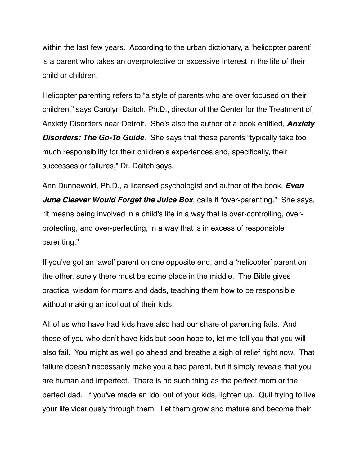within the last few years. According to the urban dictionary, a 'helicopter parent' is a parent who takes an overprotective or excessive interest in the life of their child or children.

Helicopter parenting refers to "a style of parents who are over focused on their children," says Carolyn Daitch, Ph.D., director of the Center for the Treatment of Anxiety Disorders near Detroit. She's also the author of a book entitled, *Anxiety Disorders: The Go-To Guide*. She says that these parents "typically take too much responsibility for their children's experiences and, specifically, their successes or failures," Dr. Daitch says.

Ann Dunnewold, Ph.D., a licensed psychologist and author of the book, *Even June Cleaver Would Forget the Juice Box*, calls it "over-parenting." She says, "It means being involved in a child's life in a way that is over-controlling, overprotecting, and over-perfecting, in a way that is in excess of responsible parenting."

If you've got an 'awol' parent on one opposite end, and a 'helicopter' parent on the other, surely there must be some place in the middle. The Bible gives practical wisdom for moms and dads, teaching them how to be responsible without making an idol out of their kids.

All of us who have had kids have also had our share of parenting fails. And those of you who don't have kids but soon hope to, let me tell you that you will also fail. You might as well go ahead and breathe a sigh of relief right now. That failure doesn't necessarily make you a bad parent, but it simply reveals that you are human and imperfect. There is no such thing as the perfect mom or the perfect dad. If you've made an idol out of your kids, lighten up. Quit trying to live your life vicariously through them. Let them grow and mature and become their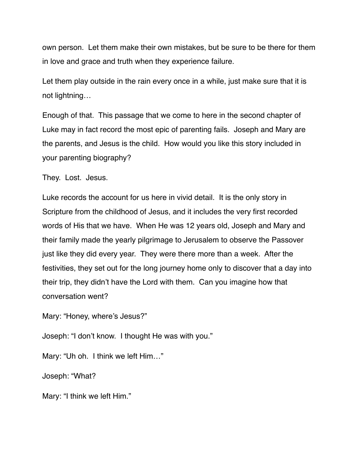own person. Let them make their own mistakes, but be sure to be there for them in love and grace and truth when they experience failure.

Let them play outside in the rain every once in a while, just make sure that it is not lightning…

Enough of that. This passage that we come to here in the second chapter of Luke may in fact record the most epic of parenting fails. Joseph and Mary are the parents, and Jesus is the child. How would you like this story included in your parenting biography?

They. Lost. Jesus.

Luke records the account for us here in vivid detail. It is the only story in Scripture from the childhood of Jesus, and it includes the very first recorded words of His that we have. When He was 12 years old, Joseph and Mary and their family made the yearly pilgrimage to Jerusalem to observe the Passover just like they did every year. They were there more than a week. After the festivities, they set out for the long journey home only to discover that a day into their trip, they didn't have the Lord with them. Can you imagine how that conversation went?

Mary: "Honey, where's Jesus?"

Joseph: "I don't know. I thought He was with you."

Mary: "Uh oh. I think we left Him…"

Joseph: "What?

Mary: "I think we left Him."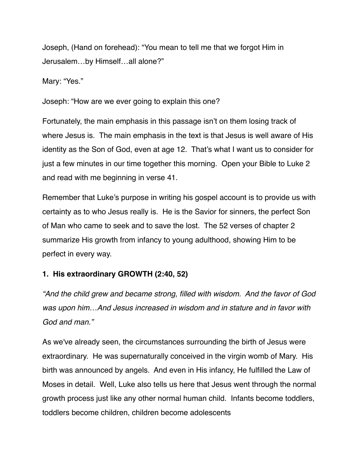Joseph, (Hand on forehead): "You mean to tell me that we forgot Him in Jerusalem…by Himself…all alone?"

Mary: "Yes."

Joseph: "How are we ever going to explain this one?

Fortunately, the main emphasis in this passage isn't on them losing track of where Jesus is. The main emphasis in the text is that Jesus is well aware of His identity as the Son of God, even at age 12. That's what I want us to consider for just a few minutes in our time together this morning. Open your Bible to Luke 2 and read with me beginning in verse 41.

Remember that Luke's purpose in writing his gospel account is to provide us with certainty as to who Jesus really is. He is the Savior for sinners, the perfect Son of Man who came to seek and to save the lost. The 52 verses of chapter 2 summarize His growth from infancy to young adulthood, showing Him to be perfect in every way.

### **1. His extraordinary GROWTH (2:40, 52)**

*"And the child grew and became strong, filled with wisdom. And the favor of God was upon him…And Jesus increased in wisdom and in stature and in favor with God and man."*

As we've already seen, the circumstances surrounding the birth of Jesus were extraordinary. He was supernaturally conceived in the virgin womb of Mary. His birth was announced by angels. And even in His infancy, He fulfilled the Law of Moses in detail. Well, Luke also tells us here that Jesus went through the normal growth process just like any other normal human child. Infants become toddlers, toddlers become children, children become adolescents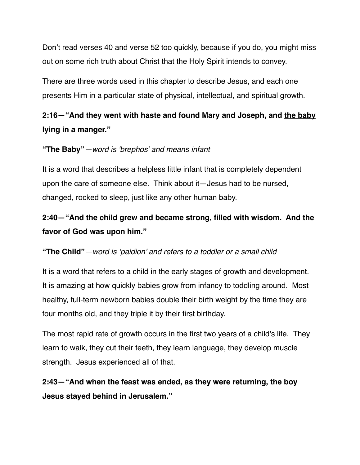Don't read verses 40 and verse 52 too quickly, because if you do, you might miss out on some rich truth about Christ that the Holy Spirit intends to convey.

There are three words used in this chapter to describe Jesus, and each one presents Him in a particular state of physical, intellectual, and spiritual growth.

# **2:16—"And they went with haste and found Mary and Joseph, and the baby lying in a manger."**

### **"The Baby"***—word is 'brephos' and means infant*

It is a word that describes a helpless little infant that is completely dependent upon the care of someone else. Think about it—Jesus had to be nursed, changed, rocked to sleep, just like any other human baby.

# **2:40—"And the child grew and became strong, filled with wisdom. And the favor of God was upon him."**

### **"The Child"***—word is 'paidion' and refers to a toddler or a small child*

It is a word that refers to a child in the early stages of growth and development. It is amazing at how quickly babies grow from infancy to toddling around. Most healthy, full-term newborn babies double their birth weight by the time they are four months old, and they triple it by their first birthday.

The most rapid rate of growth occurs in the first two years of a child's life. They learn to walk, they cut their teeth, they learn language, they develop muscle strength. Jesus experienced all of that.

### **2:43—"And when the feast was ended, as they were returning, the boy Jesus stayed behind in Jerusalem."**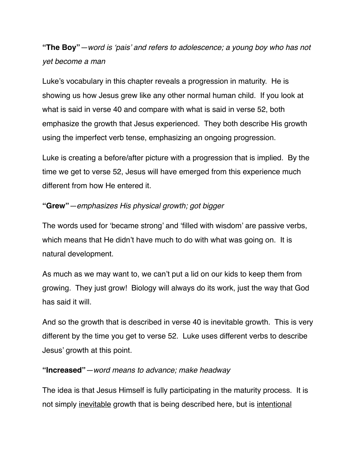# **"The Boy"***—word is 'pais' and refers to adolescence; a young boy who has not yet become a man*

Luke's vocabulary in this chapter reveals a progression in maturity. He is showing us how Jesus grew like any other normal human child. If you look at what is said in verse 40 and compare with what is said in verse 52, both emphasize the growth that Jesus experienced. They both describe His growth using the imperfect verb tense, emphasizing an ongoing progression.

Luke is creating a before/after picture with a progression that is implied. By the time we get to verse 52, Jesus will have emerged from this experience much different from how He entered it.

### **"Grew"***—emphasizes His physical growth; got bigger*

The words used for 'became strong' and 'filled with wisdom' are passive verbs, which means that He didn't have much to do with what was going on. It is natural development.

As much as we may want to, we can't put a lid on our kids to keep them from growing. They just grow! Biology will always do its work, just the way that God has said it will.

And so the growth that is described in verse 40 is inevitable growth. This is very different by the time you get to verse 52. Luke uses different verbs to describe Jesus' growth at this point.

#### **"Increased"***—word means to advance; make headway*

The idea is that Jesus Himself is fully participating in the maturity process. It is not simply inevitable growth that is being described here, but is intentional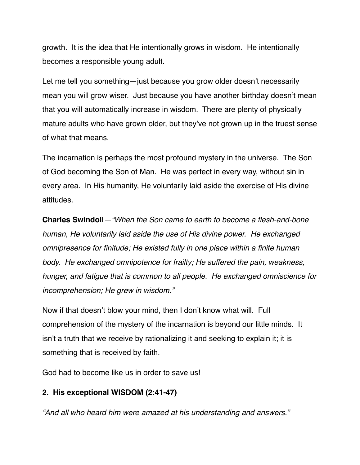growth. It is the idea that He intentionally grows in wisdom. He intentionally becomes a responsible young adult.

Let me tell you something—just because you grow older doesn't necessarily mean you will grow wiser. Just because you have another birthday doesn't mean that you will automatically increase in wisdom. There are plenty of physically mature adults who have grown older, but they've not grown up in the truest sense of what that means.

The incarnation is perhaps the most profound mystery in the universe. The Son of God becoming the Son of Man. He was perfect in every way, without sin in every area. In His humanity, He voluntarily laid aside the exercise of His divine attitudes.

**Charles Swindoll***—"When the Son came to earth to become a flesh-and-bone human, He voluntarily laid aside the use of His divine power. He exchanged omnipresence for finitude; He existed fully in one place within a finite human body. He exchanged omnipotence for frailty; He suffered the pain, weakness, hunger, and fatigue that is common to all people. He exchanged omniscience for incomprehension; He grew in wisdom."*

Now if that doesn't blow your mind, then I don't know what will. Full comprehension of the mystery of the incarnation is beyond our little minds. It isn't a truth that we receive by rationalizing it and seeking to explain it; it is something that is received by faith.

God had to become like us in order to save us!

### **2. His exceptional WISDOM (2:41-47)**

*"And all who heard him were amazed at his understanding and answers."*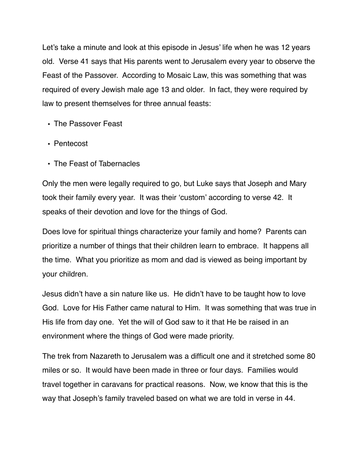Let's take a minute and look at this episode in Jesus' life when he was 12 years old. Verse 41 says that His parents went to Jerusalem every year to observe the Feast of the Passover. According to Mosaic Law, this was something that was required of every Jewish male age 13 and older. In fact, they were required by law to present themselves for three annual feasts:

- **•** The Passover Feast
- **•** Pentecost
- **•** The Feast of Tabernacles

Only the men were legally required to go, but Luke says that Joseph and Mary took their family every year. It was their 'custom' according to verse 42. It speaks of their devotion and love for the things of God.

Does love for spiritual things characterize your family and home? Parents can prioritize a number of things that their children learn to embrace. It happens all the time. What you prioritize as mom and dad is viewed as being important by your children.

Jesus didn't have a sin nature like us. He didn't have to be taught how to love God. Love for His Father came natural to Him. It was something that was true in His life from day one. Yet the will of God saw to it that He be raised in an environment where the things of God were made priority.

The trek from Nazareth to Jerusalem was a difficult one and it stretched some 80 miles or so. It would have been made in three or four days. Families would travel together in caravans for practical reasons. Now, we know that this is the way that Joseph's family traveled based on what we are told in verse in 44.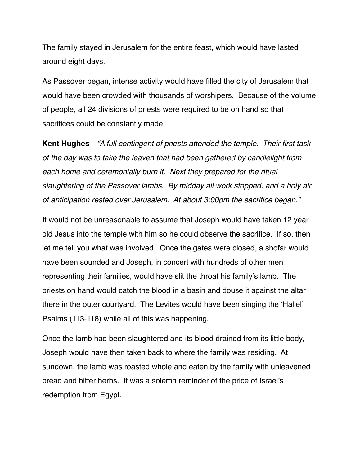The family stayed in Jerusalem for the entire feast, which would have lasted around eight days.

As Passover began, intense activity would have filled the city of Jerusalem that would have been crowded with thousands of worshipers. Because of the volume of people, all 24 divisions of priests were required to be on hand so that sacrifices could be constantly made.

**Kent Hughes***—"A full contingent of priests attended the temple. Their first task of the day was to take the leaven that had been gathered by candlelight from each home and ceremonially burn it. Next they prepared for the ritual slaughtering of the Passover lambs. By midday all work stopped, and a holy air of anticipation rested over Jerusalem. At about 3:00pm the sacrifice began."* 

It would not be unreasonable to assume that Joseph would have taken 12 year old Jesus into the temple with him so he could observe the sacrifice. If so, then let me tell you what was involved. Once the gates were closed, a shofar would have been sounded and Joseph, in concert with hundreds of other men representing their families, would have slit the throat his family's lamb. The priests on hand would catch the blood in a basin and douse it against the altar there in the outer courtyard. The Levites would have been singing the 'Hallel' Psalms (113-118) while all of this was happening.

Once the lamb had been slaughtered and its blood drained from its little body, Joseph would have then taken back to where the family was residing. At sundown, the lamb was roasted whole and eaten by the family with unleavened bread and bitter herbs. It was a solemn reminder of the price of Israel's redemption from Egypt.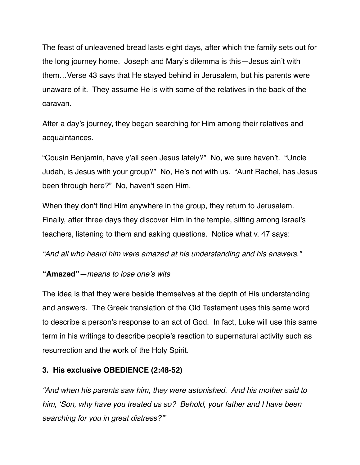The feast of unleavened bread lasts eight days, after which the family sets out for the long journey home. Joseph and Mary's dilemma is this—Jesus ain't with them…Verse 43 says that He stayed behind in Jerusalem, but his parents were unaware of it. They assume He is with some of the relatives in the back of the caravan.

After a day's journey, they began searching for Him among their relatives and acquaintances.

"Cousin Benjamin, have y'all seen Jesus lately?" No, we sure haven't. "Uncle Judah, is Jesus with your group?" No, He's not with us. "Aunt Rachel, has Jesus been through here?" No, haven't seen Him.

When they don't find Him anywhere in the group, they return to Jerusalem. Finally, after three days they discover Him in the temple, sitting among Israel's teachers, listening to them and asking questions. Notice what v. 47 says:

*"And all who heard him were amazed at his understanding and his answers."*

### **"Amazed"***—means to lose one's wits*

The idea is that they were beside themselves at the depth of His understanding and answers. The Greek translation of the Old Testament uses this same word to describe a person's response to an act of God. In fact, Luke will use this same term in his writings to describe people's reaction to supernatural activity such as resurrection and the work of the Holy Spirit.

### **3. His exclusive OBEDIENCE (2:48-52)**

*"And when his parents saw him, they were astonished. And his mother said to him, 'Son, why have you treated us so? Behold, your father and I have been searching for you in great distress?'"*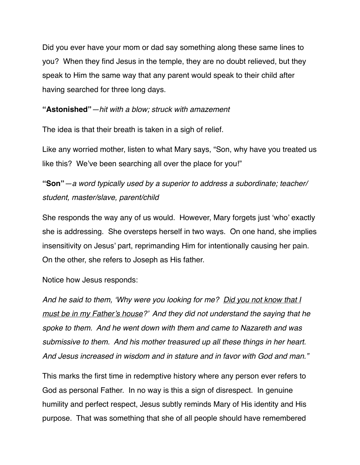Did you ever have your mom or dad say something along these same lines to you? When they find Jesus in the temple, they are no doubt relieved, but they speak to Him the same way that any parent would speak to their child after having searched for three long days.

#### **"Astonished"***—hit with a blow; struck with amazement*

The idea is that their breath is taken in a sigh of relief.

Like any worried mother, listen to what Mary says, "Son, why have you treated us like this? We've been searching all over the place for you!"

### **"Son"***—a word typically used by a superior to address a subordinate; teacher/ student, master/slave, parent/child*

She responds the way any of us would. However, Mary forgets just 'who' exactly she is addressing. She oversteps herself in two ways. On one hand, she implies insensitivity on Jesus' part, reprimanding Him for intentionally causing her pain. On the other, she refers to Joseph as His father.

Notice how Jesus responds:

*And he said to them, 'Why were you looking for me? Did you not know that I must be in my Father's house?' And they did not understand the saying that he spoke to them. And he went down with them and came to Nazareth and was submissive to them. And his mother treasured up all these things in her heart. And Jesus increased in wisdom and in stature and in favor with God and man."*

This marks the first time in redemptive history where any person ever refers to God as personal Father. In no way is this a sign of disrespect. In genuine humility and perfect respect, Jesus subtly reminds Mary of His identity and His purpose. That was something that she of all people should have remembered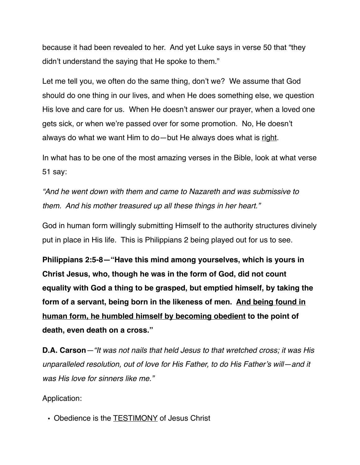because it had been revealed to her. And yet Luke says in verse 50 that "they didn't understand the saying that He spoke to them."

Let me tell you, we often do the same thing, don't we? We assume that God should do one thing in our lives, and when He does something else, we question His love and care for us. When He doesn't answer our prayer, when a loved one gets sick, or when we're passed over for some promotion. No, He doesn't always do what we want Him to do—but He always does what is right.

In what has to be one of the most amazing verses in the Bible, look at what verse 51 say:

*"And he went down with them and came to Nazareth and was submissive to them. And his mother treasured up all these things in her heart."*

God in human form willingly submitting Himself to the authority structures divinely put in place in His life. This is Philippians 2 being played out for us to see.

**Philippians 2:5-8—"Have this mind among yourselves, which is yours in Christ Jesus, who, though he was in the form of God, did not count equality with God a thing to be grasped, but emptied himself, by taking the form of a servant, being born in the likeness of men. And being found in human form, he humbled himself by becoming obedient to the point of death, even death on a cross."**

**D.A. Carson***—"It was not nails that held Jesus to that wretched cross; it was His unparalleled resolution, out of love for His Father, to do His Father's will—and it was His love for sinners like me."*

Application:

**•** Obedience is the TESTIMONY of Jesus Christ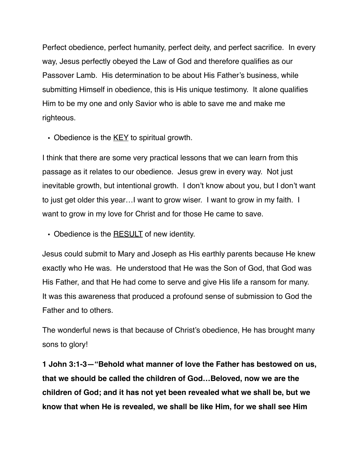Perfect obedience, perfect humanity, perfect deity, and perfect sacrifice. In every way, Jesus perfectly obeyed the Law of God and therefore qualifies as our Passover Lamb. His determination to be about His Father's business, while submitting Himself in obedience, this is His unique testimony. It alone qualifies Him to be my one and only Savior who is able to save me and make me righteous.

**•** Obedience is the KEY to spiritual growth.

I think that there are some very practical lessons that we can learn from this passage as it relates to our obedience. Jesus grew in every way. Not just inevitable growth, but intentional growth. I don't know about you, but I don't want to just get older this year…I want to grow wiser. I want to grow in my faith. I want to grow in my love for Christ and for those He came to save.

**•** Obedience is the RESULT of new identity.

Jesus could submit to Mary and Joseph as His earthly parents because He knew exactly who He was. He understood that He was the Son of God, that God was His Father, and that He had come to serve and give His life a ransom for many. It was this awareness that produced a profound sense of submission to God the Father and to others.

The wonderful news is that because of Christ's obedience, He has brought many sons to glory!

**1 John 3:1-3—"Behold what manner of love the Father has bestowed on us, that we should be called the children of God…Beloved, now we are the children of God; and it has not yet been revealed what we shall be, but we know that when He is revealed, we shall be like Him, for we shall see Him**